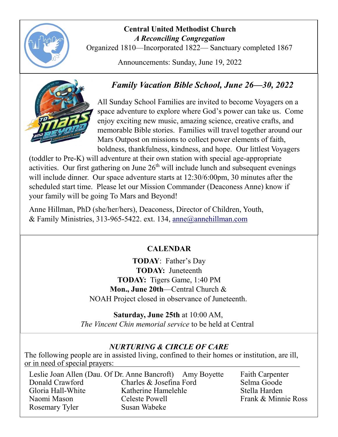

# **Central United Methodist Church**  *A Reconciling Congregation*

Organized 1810—Incorporated 1822— Sanctuary completed 1867

Announcements: Sunday, June 19, 2022



# *Family Vacation Bible School, June 26—30, 2022*

All Sunday School Families are invited to become Voyagers on a space adventure to explore where God's power can take us. Come enjoy exciting new music, amazing science, creative crafts, and memorable Bible stories. Families will travel together around our Mars Outpost on missions to collect power elements of faith, boldness, thankfulness, kindness, and hope. Our littlest Voyagers

(toddler to Pre-K) will adventure at their own station with special age-appropriate activities. Our first gathering on June  $26<sup>th</sup>$  will include lunch and subsequent evenings will include dinner. Our space adventure starts at 12:30/6:00pm, 30 minutes after the scheduled start time. Please let our Mission Commander (Deaconess Anne) know if your family will be going To Mars and Beyond!

Anne Hillman, PhD (she/her/hers), Deaconess, Director of Children, Youth, & Family Ministries, 313-965-5422. ext. 134, [anne@annehillman.com](mailto:anne@annehillman.com)

# **CALENDAR**

**TODAY**: Father's Day **TODAY:** Juneteenth **TODAY:** Tigers Game, 1:40 PM **Mon., June 20th**—Central Church & NOAH Project closed in observance of Juneteenth.

**Saturday, June 25th** at 10:00 AM, *The Vincent Chin memorial service* to be held at Central

# *NURTURING & CIRCLE OF CARE*

The following people are in assisted living, confined to their homes or institution, are ill, or in need of special prayers:

|                   | Leslie Joan Allen (Dau. Of Dr. Anne Bancroft) Amy Boyette |
|-------------------|-----------------------------------------------------------|
| Donald Crawford   | Charles & Josefina Ford                                   |
| Gloria Hall-White | Katherine Hamelehle                                       |
| Naomi Mason       | Celeste Powell                                            |
| Rosemary Tyler    | Susan Wabeke                                              |

Faith Carpenter Selma Goode Stella Harden Frank & Minnie Ross